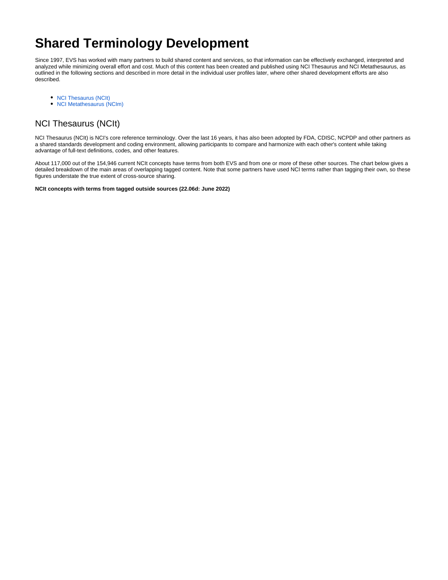# **Shared Terminology Development**

Since 1997, EVS has worked with many partners to build shared content and services, so that information can be effectively exchanged, interpreted and analyzed while minimizing overall effort and cost. Much of this content has been created and published using NCI Thesaurus and NCI Metathesaurus, as outlined in the following sections and described in more detail in the individual user profiles later, where other shared development efforts are also described.

- [NCI Thesaurus \(NCIt\)](#page-0-0)
- [NCI Metathesaurus \(NCIm\)](#page-3-0)

## <span id="page-0-0"></span>NCI Thesaurus (NCIt)

NCI Thesaurus (NCIt) is NCI's core reference terminology. Over the last 16 years, it has also been adopted by FDA, CDISC, NCPDP and other partners as a shared standards development and coding environment, allowing participants to compare and harmonize with each other's content while taking advantage of full-text definitions, codes, and other features.

About 117,000 out of the 154,946 current NCIt concepts have terms from both EVS and from one or more of these other sources. The chart below gives a detailed breakdown of the main areas of overlapping tagged content. Note that some partners have used NCI terms rather than tagging their own, so these figures understate the true extent of cross-source sharing.

**NCIt concepts with terms from tagged outside sources (22.06d: June 2022)**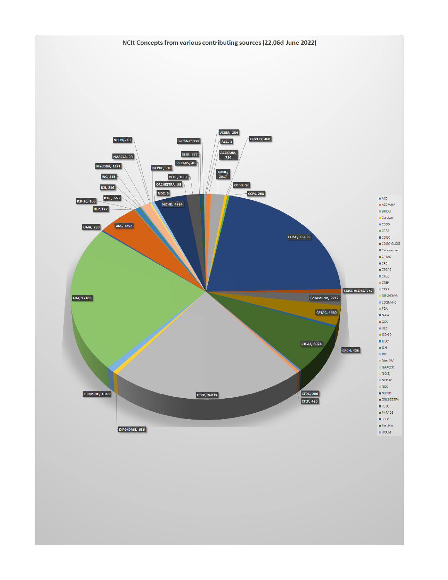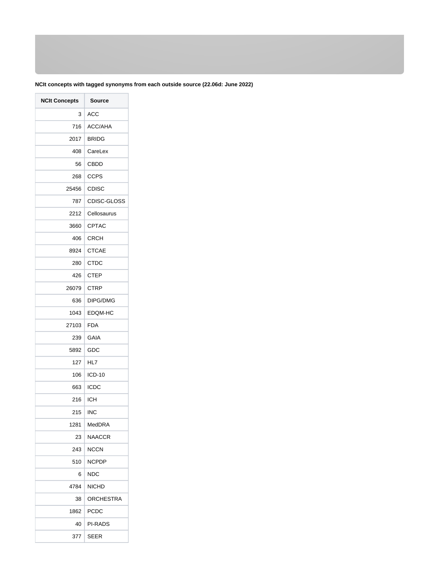### **NCIt concepts with tagged synonyms from each outside source (22.06d: June 2022)**

| <b>NCIt Concepts</b> | <b>Source</b> |  |
|----------------------|---------------|--|
| 3                    | <b>ACC</b>    |  |
| 716                  | ACC/AHA       |  |
| 2017                 | <b>BRIDG</b>  |  |
| 408                  | CareLex       |  |
| 56                   | <b>CBDD</b>   |  |
| 268                  | <b>CCPS</b>   |  |
| 25456                | <b>CDISC</b>  |  |
| 787                  | CDISC-GLOSS   |  |
| 2212                 | Cellosaurus   |  |
| 3660                 | CPTAC         |  |
| 406                  | <b>CRCH</b>   |  |
| 8924                 | <b>CTCAE</b>  |  |
| 280                  | <b>CTDC</b>   |  |
| 426                  | <b>CTEP</b>   |  |
| 26079                | <b>CTRP</b>   |  |
| 636                  | DIPG/DMG      |  |
| 1043                 | EDQM-HC       |  |
| 27103                | <b>FDA</b>    |  |
| 239                  | <b>GAIA</b>   |  |
| 5892                 | GDC           |  |
| 127                  | HL7           |  |
| 106                  | ICD-10        |  |
| 663                  | <b>ICDC</b>   |  |
| 216                  | ICH           |  |
| 215                  | INC           |  |
| 1281                 | MedDRA        |  |
| 23                   | NAACCR        |  |
| 243                  | NCCN          |  |
| 510                  | NCPDP         |  |
| 6                    | NDC           |  |
| 4784                 | <b>NICHD</b>  |  |
| 38                   | ORCHESTRA     |  |
| 1862                 | PCDC          |  |
| 40                   | PI-RADS       |  |
| 377                  | SEER          |  |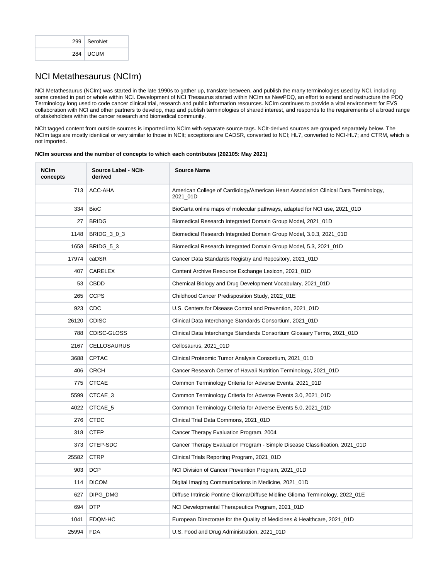|  | 299   SeroNet |  |
|--|---------------|--|
|  | 284   UCUM    |  |

### <span id="page-3-0"></span>NCI Metathesaurus (NCIm)

NCI Metathesaurus (NCIm) was started in the late 1990s to gather up, translate between, and publish the many terminologies used by NCI, including some created in part or whole within NCI. Development of NCI Thesaurus started within NCIm as NewPDQ, an effort to extend and restructure the PDQ Terminology long used to code cancer clinical trial, research and public information resources. NCIm continues to provide a vital environment for EVS collaboration with NCI and other partners to develop, map and publish terminologies of shared interest, and responds to the requirements of a broad range of stakeholders within the cancer research and biomedical community.

NCIt tagged content from outside sources is imported into NCIm with separate source tags. NCIt-derived sources are grouped separately below. The NCIm tags are mostly identical or very similar to those in NCIt; exceptions are CADSR, converted to NCI; HL7, converted to NCI-HL7; and CTRM, which is not imported.

#### **NCIm sources and the number of concepts to which each contributes (202105: May 2021)**

| <b>NCIm</b><br>concepts | Source Label - NCIt-<br>derived | <b>Source Name</b>                                                                               |  |
|-------------------------|---------------------------------|--------------------------------------------------------------------------------------------------|--|
| 713                     | ACC-AHA                         | American College of Cardiology/American Heart Association Clinical Data Terminology,<br>2021_01D |  |
| 334                     | <b>BioC</b>                     | BioCarta online maps of molecular pathways, adapted for NCI use, 2021_01D                        |  |
| 27                      | <b>BRIDG</b>                    | Biomedical Research Integrated Domain Group Model, 2021_01D                                      |  |
| 1148                    | BRIDG_3_0_3                     | Biomedical Research Integrated Domain Group Model, 3.0.3, 2021_01D                               |  |
| 1658                    | BRIDG_5_3                       | Biomedical Research Integrated Domain Group Model, 5.3, 2021_01D                                 |  |
| 17974                   | caDSR                           | Cancer Data Standards Registry and Repository, 2021_01D                                          |  |
| 407                     | CARELEX                         | Content Archive Resource Exchange Lexicon, 2021_01D                                              |  |
| 53                      | <b>CBDD</b>                     | Chemical Biology and Drug Development Vocabulary, 2021_01D                                       |  |
| 265                     | <b>CCPS</b>                     | Childhood Cancer Predisposition Study, 2022_01E                                                  |  |
| 923                     | <b>CDC</b>                      | U.S. Centers for Disease Control and Prevention, 2021_01D                                        |  |
| 26120                   | <b>CDISC</b>                    | Clinical Data Interchange Standards Consortium, 2021_01D                                         |  |
| 788                     | CDISC-GLOSS                     | Clinical Data Interchange Standards Consortium Glossary Terms, 2021_01D                          |  |
| 2167                    | <b>CELLOSAURUS</b>              | Cellosaurus, 2021_01D                                                                            |  |
| 3688                    | <b>CPTAC</b>                    | Clinical Proteomic Tumor Analysis Consortium, 2021_01D                                           |  |
| 406                     | <b>CRCH</b>                     | Cancer Research Center of Hawaii Nutrition Terminology, 2021_01D                                 |  |
| 775                     | <b>CTCAE</b>                    | Common Terminology Criteria for Adverse Events, 2021_01D                                         |  |
| 5599                    | CTCAE_3                         | Common Terminology Criteria for Adverse Events 3.0, 2021_01D                                     |  |
| 4022                    | CTCAE_5                         | Common Terminology Criteria for Adverse Events 5.0, 2021_01D                                     |  |
| 276                     | <b>CTDC</b>                     | Clinical Trial Data Commons, 2021_01D                                                            |  |
| 318                     | <b>CTEP</b>                     | Cancer Therapy Evaluation Program, 2004                                                          |  |
| 373                     | CTEP-SDC                        | Cancer Therapy Evaluation Program - Simple Disease Classification, 2021_01D                      |  |
| 25582                   | <b>CTRP</b>                     | Clinical Trials Reporting Program, 2021_01D                                                      |  |
| 903                     | <b>DCP</b>                      | NCI Division of Cancer Prevention Program, 2021_01D                                              |  |
| 114                     | <b>DICOM</b>                    | Digital Imaging Communications in Medicine, 2021_01D                                             |  |
| 627                     | DIPG_DMG                        | Diffuse Intrinsic Pontine Glioma/Diffuse Midline Glioma Terminology, 2022_01E                    |  |
| 694                     | <b>DTP</b>                      | NCI Developmental Therapeutics Program, 2021_01D                                                 |  |
| 1041                    | EDQM-HC                         | European Directorate for the Quality of Medicines & Healthcare, 2021_01D                         |  |
| 25994                   | <b>FDA</b>                      | U.S. Food and Drug Administration, 2021_01D                                                      |  |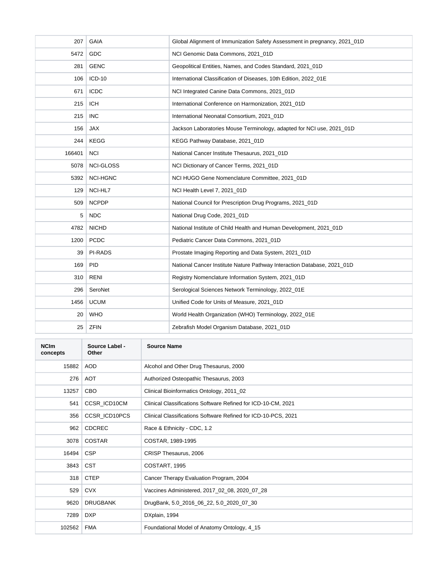| 207    | <b>GAIA</b>      | Global Alignment of Immunization Safety Assessment in pregnancy, 2021_01D |  |
|--------|------------------|---------------------------------------------------------------------------|--|
| 5472   | GDC              | NCI Genomic Data Commons, 2021 01D                                        |  |
| 281    | <b>GENC</b>      | Geopolitical Entities, Names, and Codes Standard, 2021_01D                |  |
| 106    | ICD-10           | International Classification of Diseases, 10th Edition, 2022 01E          |  |
| 671    | <b>ICDC</b>      | NCI Integrated Canine Data Commons, 2021_01D                              |  |
| 215    | <b>ICH</b>       | International Conference on Harmonization, 2021 01D                       |  |
| 215    | <b>INC</b>       | International Neonatal Consortium, 2021 01D                               |  |
| 156    | <b>JAX</b>       | Jackson Laboratories Mouse Terminology, adapted for NCI use, 2021_01D     |  |
| 244    | <b>KEGG</b>      | KEGG Pathway Database, 2021 01D                                           |  |
| 166401 | <b>NCI</b>       | National Cancer Institute Thesaurus, 2021_01D                             |  |
| 5078   | <b>NCI-GLOSS</b> | NCI Dictionary of Cancer Terms, 2021_01D                                  |  |
| 5392   | <b>NCI-HGNC</b>  | NCI HUGO Gene Nomenclature Committee, 2021 01D                            |  |
| 129    | NCI-HL7          | NCI Health Level 7, 2021_01D                                              |  |
| 509    | <b>NCPDP</b>     | National Council for Prescription Drug Programs, 2021_01D                 |  |
| 5      | <b>NDC</b>       | National Drug Code, 2021_01D                                              |  |
| 4782   | <b>NICHD</b>     | National Institute of Child Health and Human Development, 2021_01D        |  |
| 1200   | <b>PCDC</b>      | Pediatric Cancer Data Commons, 2021 01D                                   |  |
| 39     | <b>PI-RADS</b>   | Prostate Imaging Reporting and Data System, 2021_01D                      |  |
| 169    | <b>PID</b>       | National Cancer Institute Nature Pathway Interaction Database, 2021_01D   |  |
| 310    | <b>RENI</b>      | Registry Nomenclature Information System, 2021_01D                        |  |
| 296    | SeroNet          | Serological Sciences Network Terminology, 2022_01E                        |  |
| 1456   | <b>UCUM</b>      | Unified Code for Units of Measure, 2021 01D                               |  |
| 20     | <b>WHO</b>       | World Health Organization (WHO) Terminology, 2022_01E                     |  |
| 25     | <b>ZFIN</b>      | Zebrafish Model Organism Database, 2021_01D                               |  |

| <b>NCIm</b><br>concepts | Source Label -<br>Other | <b>Source Name</b>                                             |  |
|-------------------------|-------------------------|----------------------------------------------------------------|--|
| 15882                   | AOD                     | Alcohol and Other Drug Thesaurus, 2000                         |  |
| 276                     | AOT                     | Authorized Osteopathic Thesaurus, 2003                         |  |
| 13257                   | <b>CBO</b>              | Clinical Bioinformatics Ontology, 2011_02                      |  |
| 541                     | CCSR_ICD10CM            | Clinical Classifications Software Refined for ICD-10-CM, 2021  |  |
| 356                     | CCSR_ICD10PCS           | Clinical Classifications Software Refined for ICD-10-PCS, 2021 |  |
| 962                     | <b>CDCREC</b>           | Race & Ethnicity - CDC, 1.2                                    |  |
| 3078                    | <b>COSTAR</b>           | COSTAR, 1989-1995                                              |  |
| 16494                   | <b>CSP</b>              | CRISP Thesaurus, 2006                                          |  |
| 3843                    | <b>CST</b>              | COSTART, 1995                                                  |  |
| 318                     | <b>CTEP</b>             | Cancer Therapy Evaluation Program, 2004                        |  |
| 529                     | <b>CVX</b>              | Vaccines Administered, 2017_02_08, 2020_07_28                  |  |
| 9620                    | <b>DRUGBANK</b>         | DrugBank, 5.0_2016_06_22, 5.0_2020_07_30                       |  |
| 7289                    | <b>DXP</b>              | DXplain, 1994                                                  |  |
| 102562                  | <b>FMA</b>              | Foundational Model of Anatomy Ontology, 4_15                   |  |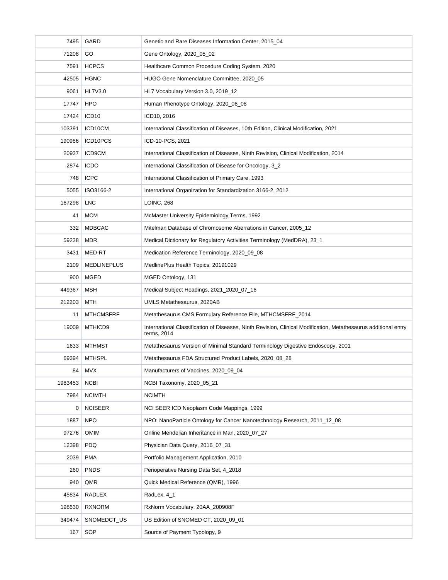| 7495    | <b>GARD</b>        | Genetic and Rare Diseases Information Center, 2015_04                                                                          |  |  |
|---------|--------------------|--------------------------------------------------------------------------------------------------------------------------------|--|--|
| 71208   | GO                 | Gene Ontology, 2020_05_02                                                                                                      |  |  |
| 7591    | <b>HCPCS</b>       | Healthcare Common Procedure Coding System, 2020                                                                                |  |  |
| 42505   | <b>HGNC</b>        | HUGO Gene Nomenclature Committee, 2020 05                                                                                      |  |  |
| 9061    | HL7V3.0            | HL7 Vocabulary Version 3.0, 2019_12                                                                                            |  |  |
| 17747   | <b>HPO</b>         | Human Phenotype Ontology, 2020_06_08                                                                                           |  |  |
| 17424   | ICD <sub>10</sub>  | ICD10, 2016                                                                                                                    |  |  |
| 103391  | ICD10CM            | International Classification of Diseases, 10th Edition, Clinical Modification, 2021                                            |  |  |
| 190986  | ICD10PCS           | ICD-10-PCS, 2021                                                                                                               |  |  |
| 20937   | <b>ICD9CM</b>      | International Classification of Diseases, Ninth Revision, Clinical Modification, 2014                                          |  |  |
| 2874    | <b>ICDO</b>        | International Classification of Disease for Oncology, 3_2                                                                      |  |  |
| 748     | <b>ICPC</b>        | International Classification of Primary Care, 1993                                                                             |  |  |
| 5055    | ISO3166-2          | International Organization for Standardization 3166-2, 2012                                                                    |  |  |
| 167298  | <b>LNC</b>         | <b>LOINC, 268</b>                                                                                                              |  |  |
| 41      | <b>MCM</b>         | McMaster University Epidemiology Terms, 1992                                                                                   |  |  |
| 332     | <b>MDBCAC</b>      | Mitelman Database of Chromosome Aberrations in Cancer, 2005_12                                                                 |  |  |
| 59238   | <b>MDR</b>         | Medical Dictionary for Regulatory Activities Terminology (MedDRA), 23_1                                                        |  |  |
| 3431    | MED-RT             | Medication Reference Terminology, 2020_09_08                                                                                   |  |  |
| 2109    | <b>MEDLINEPLUS</b> | MedlinePlus Health Topics, 20191029                                                                                            |  |  |
| 900     | MGED               | MGED Ontology, 131                                                                                                             |  |  |
| 449367  | <b>MSH</b>         | Medical Subject Headings, 2021_2020_07_16                                                                                      |  |  |
| 212203  | MTH                | UMLS Metathesaurus, 2020AB                                                                                                     |  |  |
| 11      | <b>MTHCMSFRF</b>   | Metathesaurus CMS Formulary Reference File, MTHCMSFRF_2014                                                                     |  |  |
| 19009   | MTHICD9            | International Classification of Diseases, Ninth Revision, Clinical Modification, Metathesaurus additional entry<br>terms, 2014 |  |  |
| 1633    | MTHMST             | Metathesaurus Version of Minimal Standard Terminology Digestive Endoscopy, 2001                                                |  |  |
| 69394   | <b>MTHSPL</b>      | Metathesaurus FDA Structured Product Labels, 2020_08_28                                                                        |  |  |
| 84      | <b>MVX</b>         | Manufacturers of Vaccines, 2020_09_04                                                                                          |  |  |
| 1983453 | <b>NCBI</b>        | NCBI Taxonomy, 2020_05_21                                                                                                      |  |  |
| 7984    | <b>NCIMTH</b>      | <b>NCIMTH</b>                                                                                                                  |  |  |
| 0       | <b>NCISEER</b>     | NCI SEER ICD Neoplasm Code Mappings, 1999                                                                                      |  |  |
| 1887    | <b>NPO</b>         | NPO: NanoParticle Ontology for Cancer Nanotechnology Research, 2011_12_08                                                      |  |  |
| 97276   | OMIM               | Online Mendelian Inheritance in Man, 2020_07_27                                                                                |  |  |
| 12398   | <b>PDQ</b>         | Physician Data Query, 2016_07_31                                                                                               |  |  |
| 2039    | <b>PMA</b>         | Portfolio Management Application, 2010                                                                                         |  |  |
| 260     | <b>PNDS</b>        | Perioperative Nursing Data Set, 4_2018                                                                                         |  |  |
| 940     | QMR                | Quick Medical Reference (QMR), 1996                                                                                            |  |  |
| 45834   | RADLEX             | RadLex, 4_1                                                                                                                    |  |  |
| 198630  | <b>RXNORM</b>      | RxNorm Vocabulary, 20AA_200908F                                                                                                |  |  |
| 349474  | SNOMEDCT_US        | US Edition of SNOMED CT, 2020_09_01                                                                                            |  |  |
| 167     | SOP                | Source of Payment Typology, 9                                                                                                  |  |  |